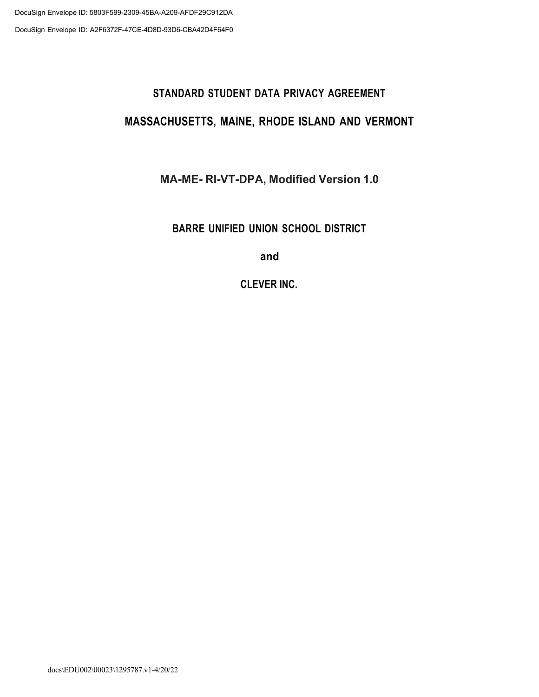# **STANDARD STUDENT DATA PRIVACY AGREEMENT MASSACHUSETTS, MAINE, RHODE ISLAND AND VERMONT**

**MA-ME- RI-VT-DPA, Modified Version 1.0**

**BARRE UNIFIED UNION SCHOOL DISTRICT**

**and** 

**CLEVER INC.**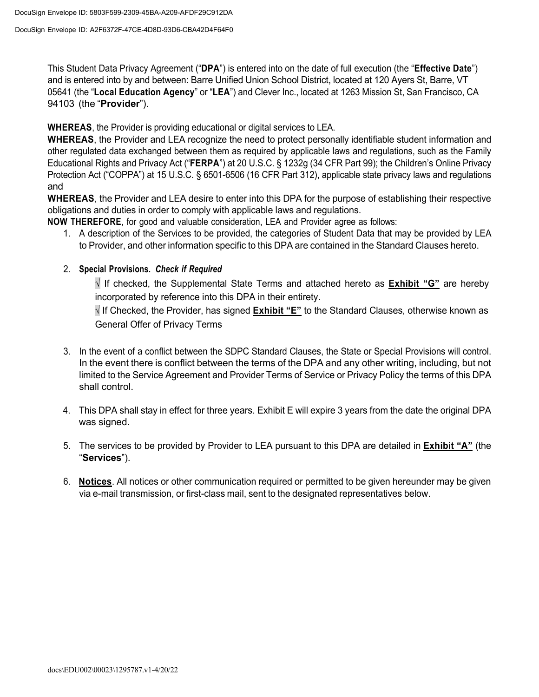DocuSign Envelope ID: 5803F599-2309-45BA-A209-AFDF29C912DA

DocuSign Envelope ID: A2F6372F-47CE-4D8D-93D6-CBA42D4F64F0

This Student Data Privacy Agreement ("**DPA**") is entered into on the date of full execution (the "**Effective Date**") and is entered into by and between: Barre Unified Union School District, located at 120 Ayers St, Barre, VT 05641 (the "**Local Education Agency**" or "**LEA**") and Clever Inc., located at 1263 Mission St, San Francisco, CA 94103 (the "**Provider**").

**WHEREAS**, the Provider is providing educational or digital services to LEA.

**WHEREAS**, the Provider and LEA recognize the need to protect personally identifiable student information and other regulated data exchanged between them as required by applicable laws and regulations, such as the Family Educational Rights and Privacy Act ("**FERPA**") at 20 U.S.C. § 1232g (34 CFR Part 99); the Children's Online Privacy Protection Act ("COPPA") at 15 U.S.C. § 6501-6506 (16 CFR Part 312), applicable state privacy laws and regulations and

**WHEREAS**, the Provider and LEA desire to enter into this DPA for the purpose of establishing their respective obligations and duties in order to comply with applicable laws and regulations.

**NOW THEREFORE**, for good and valuable consideration, LEA and Provider agree as follows:

1. A description of the Services to be provided, the categories of Student Data that may be provided by LEA to Provider, and other information specific to this DPA are contained in the Standard Clauses hereto.

#### 2. **Special Provisions.** *Check if Required*

**√** If checked, the Supplemental State Terms and attached hereto as **Exhibit "G"** are hereby incorporated by reference into this DPA in their entirety.

**√** If Checked, the Provider, has signed **Exhibit "E"** to the Standard Clauses, otherwise known as General Offer of Privacy Terms

- 3. In the event of a conflict between the SDPC Standard Clauses, the State or Special Provisions will control. In the event there is conflict between the terms of the DPA and any other writing, including, but not limited to the Service Agreement and Provider Terms of Service or Privacy Policy the terms of this DPA shall control.
- 4. This DPA shall stay in effect for three years. Exhibit E will expire 3 years from the date the original DPA was signed.
- 5. The services to be provided by Provider to LEA pursuant to this DPA are detailed in **Exhibit "A"** (the "**Services**").
- 6. **Notices**. All notices or other communication required or permitted to be given hereunder may be given via e-mail transmission, or first-class mail, sent to the designated representatives below.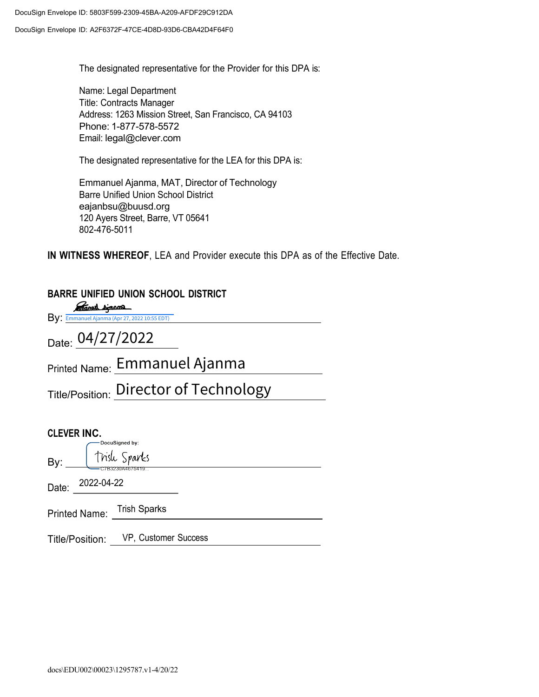The designated representative for the Provider for this DPA is:

Name: Legal Department Title: Contracts Manager Address: 1263 Mission Street, San Francisco, CA 94103 Phone: 1-877-578-5572 Email: legal@clever.com

The designated representative for the LEA for this DPA is:

Emmanuel Ajanma, MAT, Director of Technology Barre Unified Union School District eajanbsu@buusd.org 120 Ayers Street, Barre, VT 05641 802-476-5011

**IN WITNESS WHEREOF**, LEA and Provider execute this DPA as of the Effective Date.

| <b>BARRE UNIFIED UNION SCHOOL DISTRICT</b>                          |  |  |
|---------------------------------------------------------------------|--|--|
| <u>manul sjanna</u><br>By: Emmanuel Ajanma (Apr 27, 2022 10:55 EDT) |  |  |
| Date: 04/27/2022                                                    |  |  |
| Printed Name: Emmanuel Ajanma                                       |  |  |
| Title/Position: Director of Technology                              |  |  |
|                                                                     |  |  |
| <b>CLEVER INC.</b><br>DocuSigned by:                                |  |  |
| $By:$ $\Box$   Trish Sparts                                         |  |  |
| Date: 2022-04-22                                                    |  |  |
| Printed Name: Trish Sparks                                          |  |  |
| VP, Customer Success<br>Title/Position:                             |  |  |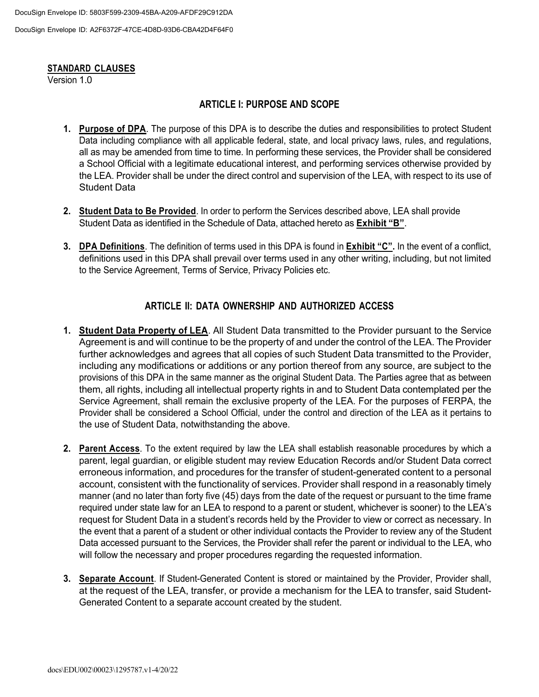DocuSign Envelope ID: 5803F599-2309-45BA-A209-AFDF29C912DA

DocuSign Envelope ID: A2F6372F-47CE-4D8D-93D6-CBA42D4F64F0

#### **STANDARD CLAUSES**

Version 1.0

#### **ARTICLE I: PURPOSE AND SCOPE**

- **1. Purpose of DPA**. The purpose of this DPA is to describe the duties and responsibilities to protect Student Data including compliance with all applicable federal, state, and local privacy laws, rules, and regulations, all as may be amended from time to time. In performing these services, the Provider shall be considered a School Official with a legitimate educational interest, and performing services otherwise provided by the LEA. Provider shall be under the direct control and supervision of the LEA, with respect to its use of Student Data
- **2. Student Data to Be Provided**. In order to perform the Services described above, LEA shall provide Student Data as identified in the Schedule of Data, attached hereto as **Exhibit "B"**.
- **3. DPA Definitions**. The definition of terms used in this DPA is found in **Exhibit "C".** In the event of a conflict, definitions used in this DPA shall prevail over terms used in any other writing, including, but not limited to the Service Agreement, Terms of Service, Privacy Policies etc.

#### **ARTICLE II: DATA OWNERSHIP AND AUTHORIZED ACCESS**

- **1. Student Data Property of LEA**. All Student Data transmitted to the Provider pursuant to the Service Agreement is and will continue to be the property of and under the control of the LEA. The Provider further acknowledges and agrees that all copies of such Student Data transmitted to the Provider, including any modifications or additions or any portion thereof from any source, are subject to the provisions of this DPA in the same manner as the original Student Data. The Parties agree that as between them, all rights, including all intellectual property rights in and to Student Data contemplated per the Service Agreement, shall remain the exclusive property of the LEA. For the purposes of FERPA, the Provider shall be considered a School Official, under the control and direction of the LEA as it pertains to the use of Student Data, notwithstanding the above.
- **2. Parent Access**. To the extent required by law the LEA shall establish reasonable procedures by which a parent, legal guardian, or eligible student may review Education Records and/or Student Data correct erroneous information, and procedures for the transfer of student-generated content to a personal account, consistent with the functionality of services. Provider shall respond in a reasonably timely manner (and no later than forty five (45) days from the date of the request or pursuant to the time frame required under state law for an LEA to respond to a parent or student, whichever is sooner) to the LEA's request for Student Data in a student's records held by the Provider to view or correct as necessary. In the event that a parent of a student or other individual contacts the Provider to review any of the Student Data accessed pursuant to the Services, the Provider shall refer the parent or individual to the LEA, who will follow the necessary and proper procedures regarding the requested information.
- **3. Separate Account**. If Student-Generated Content is stored or maintained by the Provider, Provider shall, at the request of the LEA, transfer, or provide a mechanism for the LEA to transfer, said Student-Generated Content to a separate account created by the student.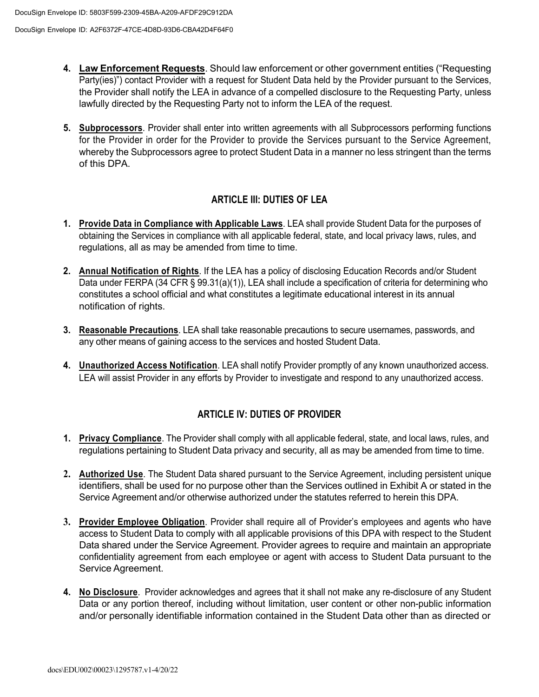- **4. Law Enforcement Requests**. Should law enforcement or other government entities ("Requesting Party(ies)") contact Provider with a request for Student Data held by the Provider pursuant to the Services, the Provider shall notify the LEA in advance of a compelled disclosure to the Requesting Party, unless lawfully directed by the Requesting Party not to inform the LEA of the request.
- **5. Subprocessors**. Provider shall enter into written agreements with all Subprocessors performing functions for the Provider in order for the Provider to provide the Services pursuant to the Service Agreement, whereby the Subprocessors agree to protect Student Data in a manner no less stringent than the terms of this DPA.

#### **ARTICLE III: DUTIES OF LEA**

- **1. Provide Data in Compliance with Applicable Laws**. LEA shall provide Student Data for the purposes of obtaining the Services in compliance with all applicable federal, state, and local privacy laws, rules, and regulations, all as may be amended from time to time.
- **2. Annual Notification of Rights**. If the LEA has a policy of disclosing Education Records and/or Student Data under FERPA (34 CFR § 99.31(a)(1)), LEA shall include a specification of criteria for determining who constitutes a school official and what constitutes a legitimate educational interest in its annual notification of rights.
- **3. Reasonable Precautions**. LEA shall take reasonable precautions to secure usernames, passwords, and any other means of gaining access to the services and hosted Student Data.
- **4. Unauthorized Access Notification**. LEA shall notify Provider promptly of any known unauthorized access. LEA will assist Provider in any efforts by Provider to investigate and respond to any unauthorized access.

#### **ARTICLE IV: DUTIES OF PROVIDER**

- **1. Privacy Compliance**. The Provider shall comply with all applicable federal, state, and local laws, rules, and regulations pertaining to Student Data privacy and security, all as may be amended from time to time.
- **2. Authorized Use**. The Student Data shared pursuant to the Service Agreement, including persistent unique identifiers, shall be used for no purpose other than the Services outlined in Exhibit A or stated in the Service Agreement and/or otherwise authorized under the statutes referred to herein this DPA.
- **3. Provider Employee Obligation**. Provider shall require all of Provider's employees and agents who have access to Student Data to comply with all applicable provisions of this DPA with respect to the Student Data shared under the Service Agreement. Provider agrees to require and maintain an appropriate confidentiality agreement from each employee or agent with access to Student Data pursuant to the Service Agreement.
- **4. No Disclosure**. Provider acknowledges and agrees that it shall not make any re-disclosure of any Student Data or any portion thereof, including without limitation, user content or other non-public information and/or personally identifiable information contained in the Student Data other than as directed or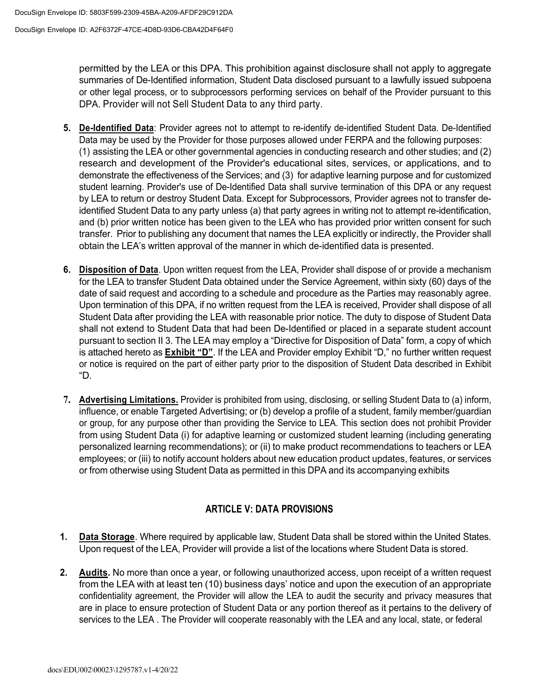permitted by the LEA or this DPA. This prohibition against disclosure shall not apply to aggregate summaries of De-Identified information, Student Data disclosed pursuant to a lawfully issued subpoena or other legal process, or to subprocessors performing services on behalf of the Provider pursuant to this DPA. Provider will not Sell Student Data to any third party.

- **5. De-Identified Data**: Provider agrees not to attempt to re-identify de-identified Student Data. De-Identified Data may be used by the Provider for those purposes allowed under FERPA and the following purposes: (1) assisting the LEA or other governmental agencies in conducting research and other studies; and (2) research and development of the Provider's educational sites, services, or applications, and to demonstrate the effectiveness of the Services; and (3) for adaptive learning purpose and for customized student learning. Provider's use of De-Identified Data shall survive termination of this DPA or any request by LEA to return or destroy Student Data. Except for Subprocessors, Provider agrees not to transfer deidentified Student Data to any party unless (a) that party agrees in writing not to attempt re-identification, and (b) prior written notice has been given to the LEA who has provided prior written consent for such transfer. Prior to publishing any document that names the LEA explicitly or indirectly, the Provider shall obtain the LEA's written approval of the manner in which de-identified data is presented.
- **6. Disposition of Data**. Upon written request from the LEA, Provider shall dispose of or provide a mechanism for the LEA to transfer Student Data obtained under the Service Agreement, within sixty (60) days of the date of said request and according to a schedule and procedure as the Parties may reasonably agree. Upon termination of this DPA, if no written request from the LEA is received, Provider shall dispose of all Student Data after providing the LEA with reasonable prior notice. The duty to dispose of Student Data shall not extend to Student Data that had been De-Identified or placed in a separate student account pursuant to section II 3. The LEA may employ a "Directive for Disposition of Data" form, a copy of which is attached hereto as **Exhibit "D"**. If the LEA and Provider employ Exhibit "D," no further written request or notice is required on the part of either party prior to the disposition of Student Data described in Exhibit "D.
- **7. Advertising Limitations.** Provider is prohibited from using, disclosing, or selling Student Data to (a) inform, influence, or enable Targeted Advertising; or (b) develop a profile of a student, family member/guardian or group, for any purpose other than providing the Service to LEA. This section does not prohibit Provider from using Student Data (i) for adaptive learning or customized student learning (including generating personalized learning recommendations); or (ii) to make product recommendations to teachers or LEA employees; or (iii) to notify account holders about new education product updates, features, or services or from otherwise using Student Data as permitted in this DPA and its accompanying exhibits

#### **ARTICLE V: DATA PROVISIONS**

- **1. Data Storage**. Where required by applicable law, Student Data shall be stored within the United States. Upon request of the LEA, Provider will provide a list of the locations where Student Data is stored.
- **2. Audits.** No more than once a year, or following unauthorized access, upon receipt of a written request from the LEA with at least ten (10) business days' notice and upon the execution of an appropriate confidentiality agreement, the Provider will allow the LEA to audit the security and privacy measures that are in place to ensure protection of Student Data or any portion thereof as it pertains to the delivery of services to the LEA. The Provider will cooperate reasonably with the LEA and any local, state, or federal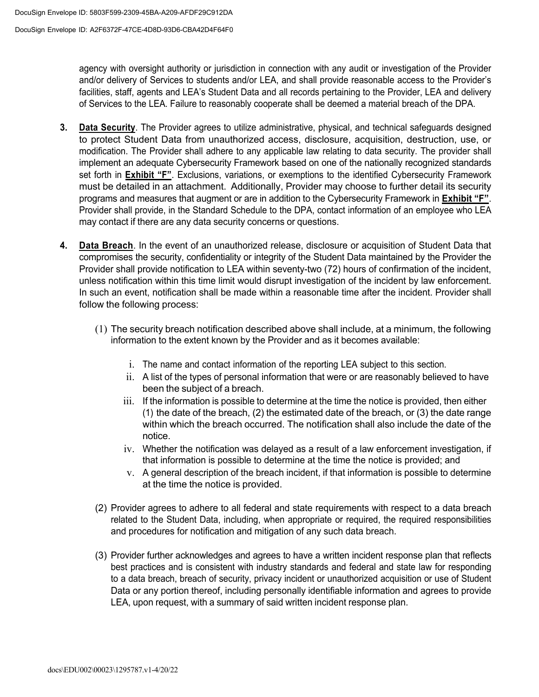agency with oversight authority or jurisdiction in connection with any audit or investigation of the Provider and/or delivery of Services to students and/or LEA, and shall provide reasonable access to the Provider's facilities, staff, agents and LEA's Student Data and all records pertaining to the Provider, LEA and delivery of Services to the LEA. Failure to reasonably cooperate shall be deemed a material breach of the DPA.

- **3. Data Security**. The Provider agrees to utilize administrative, physical, and technical safeguards designed to protect Student Data from unauthorized access, disclosure, acquisition, destruction, use, or modification. The Provider shall adhere to any applicable law relating to data security. The provider shall implement an adequate Cybersecurity Framework based on one of the nationally recognized standards set forth in **Exhibit "F"**. Exclusions, variations, or exemptions to the identified Cybersecurity Framework must be detailed in an attachment. Additionally, Provider may choose to further detail its security programs and measures that augment or are in addition to the Cybersecurity Framework in **Exhibit "F"**. Provider shall provide, in the Standard Schedule to the DPA, contact information of an employee who LEA may contact if there are any data security concerns or questions.
- **4. Data Breach**. In the event of an unauthorized release, disclosure or acquisition of Student Data that compromises the security, confidentiality or integrity of the Student Data maintained by the Provider the Provider shall provide notification to LEA within seventy-two (72) hours of confirmation of the incident, unless notification within this time limit would disrupt investigation of the incident by law enforcement. In such an event, notification shall be made within a reasonable time after the incident. Provider shall follow the following process:
	- (1) The security breach notification described above shall include, at a minimum, the following information to the extent known by the Provider and as it becomes available:
		- i. The name and contact information of the reporting LEA subject to this section.
		- ii. A list of the types of personal information that were or are reasonably believed to have been the subject of a breach.
		- iii. If the information is possible to determine at the time the notice is provided, then either (1) the date of the breach, (2) the estimated date of the breach, or (3) the date range within which the breach occurred. The notification shall also include the date of the notice.
		- iv. Whether the notification was delayed as a result of a law enforcement investigation, if that information is possible to determine at the time the notice is provided; and
		- v. A general description of the breach incident, if that information is possible to determine at the time the notice is provided.
	- (2) Provider agrees to adhere to all federal and state requirements with respect to a data breach related to the Student Data, including, when appropriate or required, the required responsibilities and procedures for notification and mitigation of any such data breach.
	- (3) Provider further acknowledges and agrees to have a written incident response plan that reflects best practices and is consistent with industry standards and federal and state law for responding to a data breach, breach of security, privacy incident or unauthorized acquisition or use of Student Data or any portion thereof, including personally identifiable information and agrees to provide LEA, upon request, with a summary of said written incident response plan.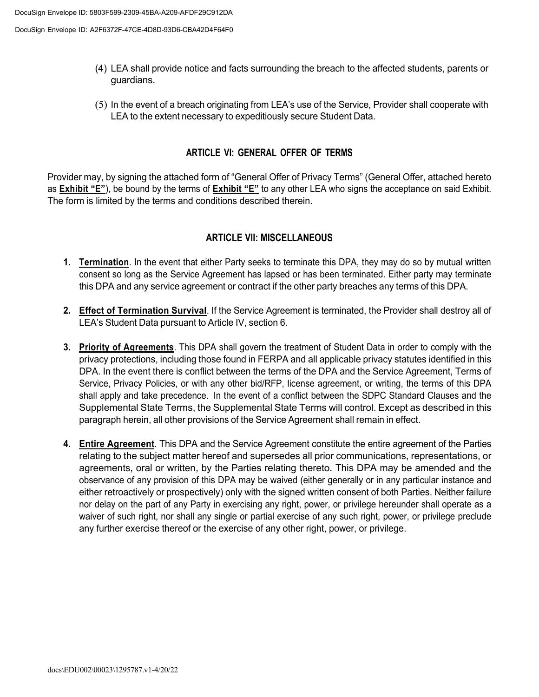- (4) LEA shall provide notice and facts surrounding the breach to the affected students, parents or guardians.
- (5) In the event of a breach originating from LEA's use of the Service, Provider shall cooperate with LEA to the extent necessary to expeditiously secure Student Data.

#### **ARTICLE VI: GENERAL OFFER OF TERMS**

Provider may, by signing the attached form of "General Offer of Privacy Terms" (General Offer, attached hereto as **Exhibit "E"**), be bound by the terms of **Exhibit "E"** to any other LEA who signs the acceptance on said Exhibit. The form is limited by the terms and conditions described therein.

#### **ARTICLE VII: MISCELLANEOUS**

- **1. Termination**. In the event that either Party seeks to terminate this DPA, they may do so by mutual written consent so long as the Service Agreement has lapsed or has been terminated. Either party may terminate this DPA and any service agreement or contract if the other party breaches any terms of this DPA.
- **2. Effect of Termination Survival**. If the Service Agreement is terminated, the Provider shall destroy all of LEA's Student Data pursuant to Article IV, section 6.
- **3. Priority of Agreements**. This DPA shall govern the treatment of Student Data in order to comply with the privacy protections, including those found in FERPA and all applicable privacy statutes identified in this DPA. In the event there is conflict between the terms of the DPA and the Service Agreement, Terms of Service, Privacy Policies, or with any other bid/RFP, license agreement, or writing, the terms of this DPA shall apply and take precedence. In the event of a conflict between the SDPC Standard Clauses and the Supplemental State Terms, the Supplemental State Terms will control. Except as described in this paragraph herein, all other provisions of the Service Agreement shall remain in effect.
- **4. Entire Agreement**. This DPA and the Service Agreement constitute the entire agreement of the Parties relating to the subject matter hereof and supersedes all prior communications, representations, or agreements, oral or written, by the Parties relating thereto. This DPA may be amended and the observance of any provision of this DPA may be waived (either generally or in any particular instance and either retroactively or prospectively) only with the signed written consent of both Parties. Neither failure nor delay on the part of any Party in exercising any right, power, or privilege hereunder shall operate as a waiver of such right, nor shall any single or partial exercise of any such right, power, or privilege preclude any further exercise thereof or the exercise of any other right, power, or privilege.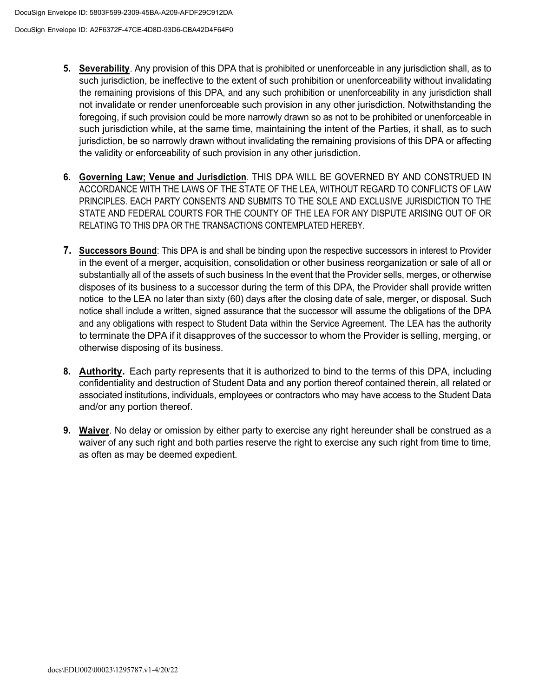- **5. Severability**. Any provision of this DPA that is prohibited or unenforceable in any jurisdiction shall, as to such jurisdiction, be ineffective to the extent of such prohibition or unenforceability without invalidating the remaining provisions of this DPA, and any such prohibition or unenforceability in any jurisdiction shall not invalidate or render unenforceable such provision in any other jurisdiction. Notwithstanding the foregoing, if such provision could be more narrowly drawn so as not to be prohibited or unenforceable in such jurisdiction while, at the same time, maintaining the intent of the Parties, it shall, as to such jurisdiction, be so narrowly drawn without invalidating the remaining provisions of this DPA or affecting the validity or enforceability of such provision in any other jurisdiction.
- **6. Governing Law; Venue and Jurisdiction**. THIS DPA WILL BE GOVERNED BY AND CONSTRUED IN ACCORDANCE WITH THE LAWS OF THE STATE OF THE LEA, WITHOUT REGARD TO CONFLICTS OF LAW PRINCIPLES. EACH PARTY CONSENTS AND SUBMITS TO THE SOLE AND EXCLUSIVE JURISDICTION TO THE STATE AND FEDERAL COURTS FOR THE COUNTY OF THE LEA FOR ANY DISPUTE ARISING OUT OF OR RELATING TO THIS DPA OR THE TRANSACTIONS CONTEMPLATED HEREBY.
- **7. Successors Bound**: This DPA is and shall be binding upon the respective successors in interest to Provider in the event of a merger, acquisition, consolidation or other business reorganization or sale of all or substantially all of the assets of such business In the event that the Provider sells, merges, or otherwise disposes of its business to a successor during the term of this DPA, the Provider shall provide written notice to the LEA no later than sixty (60) days after the closing date of sale, merger, or disposal. Such notice shall include a written, signed assurance that the successor will assume the obligations of the DPA and any obligations with respect to Student Data within the Service Agreement. The LEA has the authority to terminate the DPA if it disapproves of the successor to whom the Provider is selling, merging, or otherwise disposing of its business.
- **8. Authority.** Each party represents that it is authorized to bind to the terms of this DPA, including confidentiality and destruction of Student Data and any portion thereof contained therein, all related or associated institutions, individuals, employees or contractors who may have access to the Student Data and/or any portion thereof.
- **9. Waiver**. No delay or omission by either party to exercise any right hereunder shall be construed as a waiver of any such right and both parties reserve the right to exercise any such right from time to time, as often as may be deemed expedient.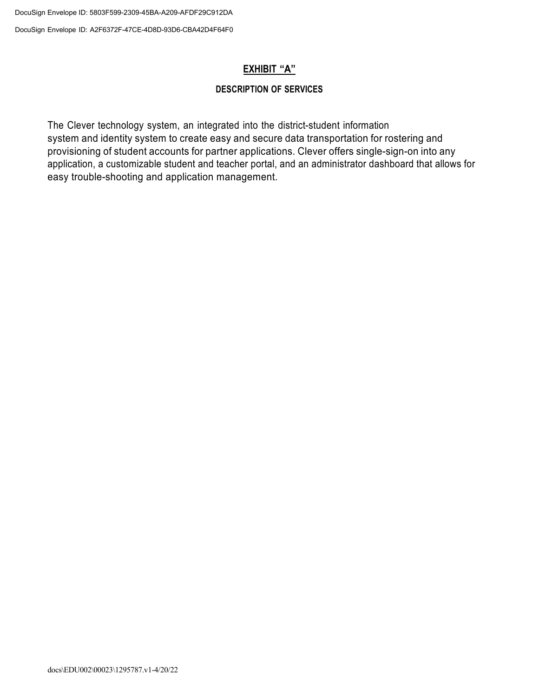DocuSign Envelope ID: 5803F599-2309-45BA-A209-AFDF29C912DA

DocuSign Envelope ID: A2F6372F-47CE-4D8D-93D6-CBA42D4F64F0

#### **EXHIBIT "A"**

#### **DESCRIPTION OF SERVICES**

The Clever technology system, an integrated into the district-student information system and identity system to create easy and secure data transportation for rostering and provisioning of student accounts for partner applications. Clever offers single-sign-on into any application, a customizable student and teacher portal, and an administrator dashboard that allows for easy trouble-shooting and application management.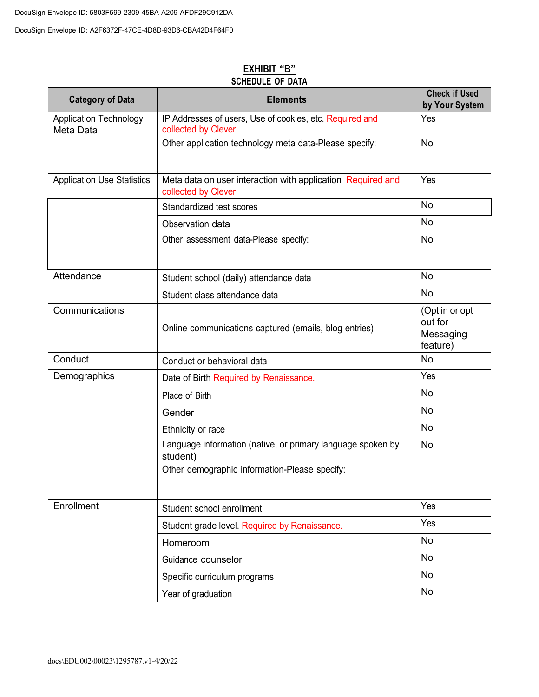| <b>Category of Data</b>                    | <b>Elements</b>                                                                    | <b>Check if Used</b><br>by Your System             |
|--------------------------------------------|------------------------------------------------------------------------------------|----------------------------------------------------|
| <b>Application Technology</b><br>Meta Data | IP Addresses of users, Use of cookies, etc. Required and<br>collected by Clever    | Yes                                                |
|                                            | Other application technology meta data-Please specify:                             | <b>No</b>                                          |
| <b>Application Use Statistics</b>          | Meta data on user interaction with application Required and<br>collected by Clever | Yes                                                |
|                                            | Standardized test scores                                                           | <b>No</b>                                          |
|                                            | Observation data                                                                   | No                                                 |
|                                            | Other assessment data-Please specify:                                              | <b>No</b>                                          |
| Attendance                                 | Student school (daily) attendance data                                             | <b>No</b>                                          |
|                                            | Student class attendance data                                                      | No                                                 |
| Communications                             | Online communications captured (emails, blog entries)                              | (Opt in or opt<br>out for<br>Messaging<br>feature) |
| Conduct                                    | Conduct or behavioral data                                                         | <b>No</b>                                          |
| Demographics                               | Date of Birth Required by Renaissance.                                             | Yes                                                |
|                                            | Place of Birth                                                                     | <b>No</b>                                          |
|                                            | Gender                                                                             | <b>No</b>                                          |
|                                            | Ethnicity or race                                                                  | No                                                 |
|                                            | Language information (native, or primary language spoken by<br>student)            | <b>No</b>                                          |
|                                            | Other demographic information-Please specify:                                      |                                                    |
| Enrollment                                 | Student school enrollment                                                          | Yes                                                |
|                                            | Student grade level. Required by Renaissance.                                      | Yes                                                |
|                                            | Homeroom                                                                           | No                                                 |
|                                            | Guidance counselor                                                                 | <b>No</b>                                          |
|                                            | Specific curriculum programs                                                       | <b>No</b>                                          |
|                                            | Year of graduation                                                                 | No                                                 |

#### **EXHIBIT "B" SCHEDULE OF DATA**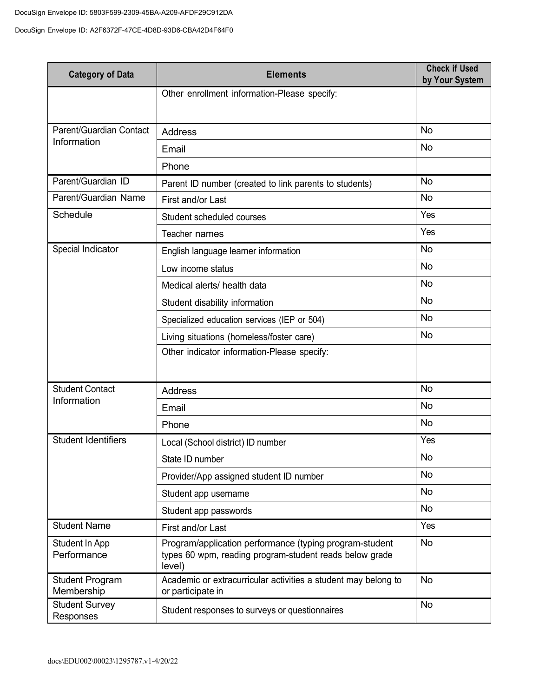| <b>Category of Data</b>              | <b>Elements</b>                                                                                                              | <b>Check if Used</b><br>by Your System |
|--------------------------------------|------------------------------------------------------------------------------------------------------------------------------|----------------------------------------|
|                                      | Other enrollment information-Please specify:                                                                                 |                                        |
| Parent/Guardian Contact              | <b>Address</b>                                                                                                               | <b>No</b>                              |
| Information                          | Email                                                                                                                        | No                                     |
|                                      | Phone                                                                                                                        |                                        |
| Parent/Guardian ID                   | Parent ID number (created to link parents to students)                                                                       | <b>No</b>                              |
| Parent/Guardian Name                 | First and/or Last                                                                                                            | <b>No</b>                              |
| Schedule                             | Student scheduled courses                                                                                                    | Yes                                    |
|                                      | Teacher names                                                                                                                | Yes                                    |
| Special Indicator                    | English language learner information                                                                                         | <b>No</b>                              |
|                                      | Low income status                                                                                                            | <b>No</b>                              |
|                                      | Medical alerts/ health data                                                                                                  | <b>No</b>                              |
|                                      | Student disability information                                                                                               | <b>No</b>                              |
|                                      | Specialized education services (IEP or 504)                                                                                  | <b>No</b>                              |
|                                      | Living situations (homeless/foster care)                                                                                     | <b>No</b>                              |
|                                      | Other indicator information-Please specify:                                                                                  |                                        |
| <b>Student Contact</b>               | <b>Address</b>                                                                                                               | <b>No</b>                              |
| Information                          | Email                                                                                                                        | <b>No</b>                              |
|                                      | Phone                                                                                                                        | <b>No</b>                              |
| <b>Student Identifiers</b>           | Local (School district) ID number                                                                                            | Yes                                    |
|                                      | State ID number                                                                                                              | No.                                    |
|                                      | Provider/App assigned student ID number                                                                                      | <b>No</b>                              |
|                                      | Student app username                                                                                                         | <b>No</b>                              |
|                                      | Student app passwords                                                                                                        | <b>No</b>                              |
| <b>Student Name</b>                  | First and/or Last                                                                                                            | Yes                                    |
| Student In App<br>Performance        | Program/application performance (typing program-student<br>types 60 wpm, reading program-student reads below grade<br>level) | <b>No</b>                              |
| <b>Student Program</b><br>Membership | Academic or extracurricular activities a student may belong to<br>or participate in                                          | <b>No</b>                              |
| <b>Student Survey</b><br>Responses   | Student responses to surveys or questionnaires                                                                               | <b>No</b>                              |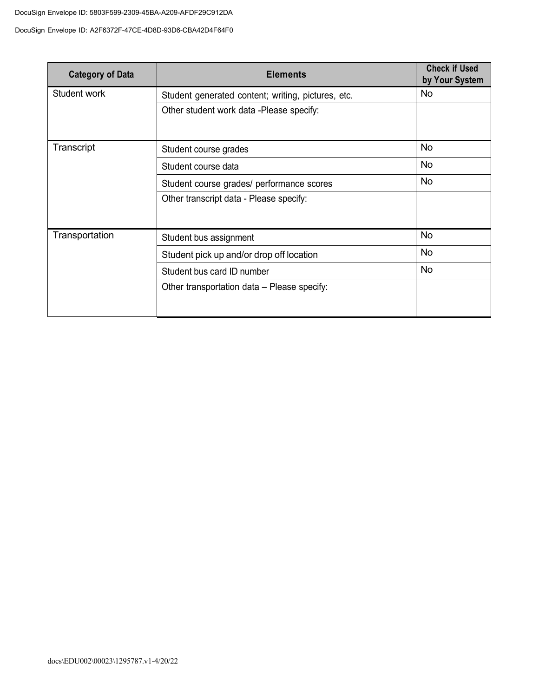| <b>Category of Data</b> | <b>Elements</b>                                    | <b>Check if Used</b><br>by Your System |
|-------------------------|----------------------------------------------------|----------------------------------------|
| Student work            | Student generated content; writing, pictures, etc. | <b>No</b>                              |
|                         | Other student work data -Please specify:           |                                        |
| Transcript              | Student course grades                              | No.                                    |
|                         | Student course data                                | <b>No</b>                              |
|                         | Student course grades/ performance scores          | <b>No</b>                              |
|                         | Other transcript data - Please specify:            |                                        |
| Transportation          | Student bus assignment                             | <b>No</b>                              |
|                         | Student pick up and/or drop off location           | <b>No</b>                              |
|                         | Student bus card ID number                         | <b>No</b>                              |
|                         | Other transportation data - Please specify:        |                                        |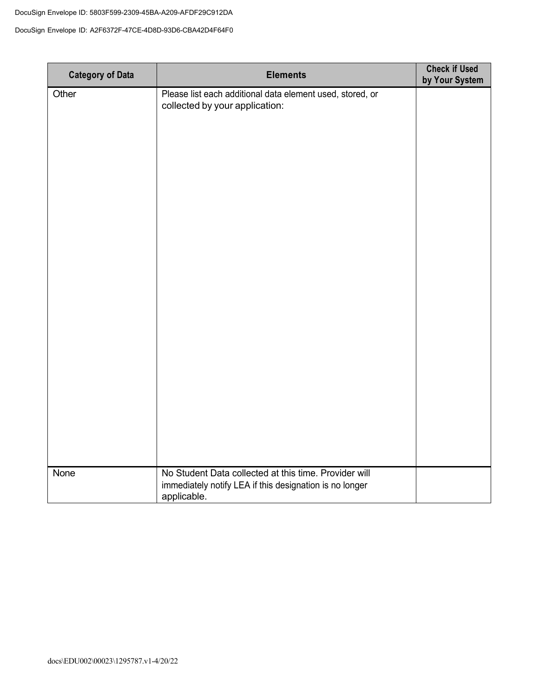| <b>Category of Data</b> | <b>Elements</b>                                                                                                                 | <b>Check if Used</b><br>by Your System |
|-------------------------|---------------------------------------------------------------------------------------------------------------------------------|----------------------------------------|
| Other                   | Please list each additional data element used, stored, or<br>collected by your application:                                     |                                        |
| None                    | No Student Data collected at this time. Provider will<br>immediately notify LEA if this designation is no longer<br>applicable. |                                        |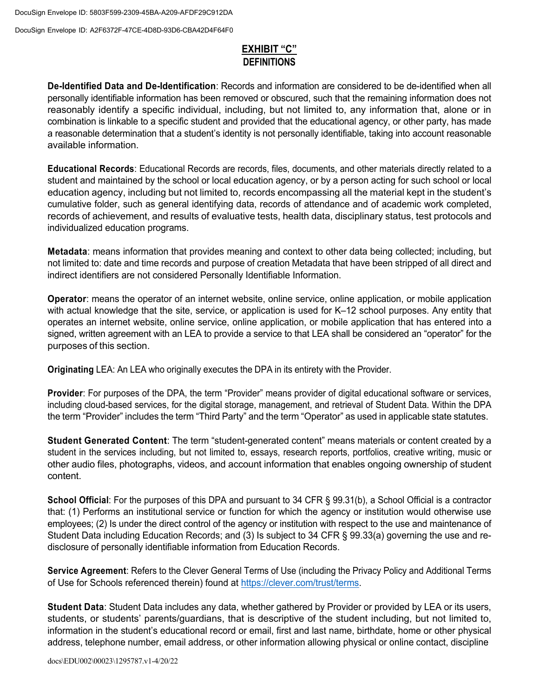#### **EXHIBIT "C" DEFINITIONS**

**De-Identified Data and De-Identification**: Records and information are considered to be de-identified when all personally identifiable information has been removed or obscured, such that the remaining information does not reasonably identify a specific individual, including, but not limited to, any information that, alone or in combination is linkable to a specific student and provided that the educational agency, or other party, has made a reasonable determination that a student's identity is not personally identifiable, taking into account reasonable available information.

**Educational Records**: Educational Records are records, files, documents, and other materials directly related to a student and maintained by the school or local education agency, or by a person acting for such school or local education agency, including but not limited to, records encompassing all the material kept in the student's cumulative folder, such as general identifying data, records of attendance and of academic work completed, records of achievement, and results of evaluative tests, health data, disciplinary status, test protocols and individualized education programs.

**Metadata**: means information that provides meaning and context to other data being collected; including, but not limited to: date and time records and purpose of creation Metadata that have been stripped of all direct and indirect identifiers are not considered Personally Identifiable Information.

**Operator**: means the operator of an internet website, online service, online application, or mobile application with actual knowledge that the site, service, or application is used for K–12 school purposes. Any entity that operates an internet website, online service, online application, or mobile application that has entered into a signed, written agreement with an LEA to provide a service to that LEA shall be considered an "operator" for the purposes of this section.

**Originating** LEA: An LEA who originally executes the DPA in its entirety with the Provider.

**Provider**: For purposes of the DPA, the term "Provider" means provider of digital educational software or services, including cloud-based services, for the digital storage, management, and retrieval of Student Data. Within the DPA the term "Provider" includes the term "Third Party" and the term "Operator" as used in applicable state statutes.

**Student Generated Content**: The term "student-generated content" means materials or content created by a student in the services including, but not limited to, essays, research reports, portfolios, creative writing, music or other audio files, photographs, videos, and account information that enables ongoing ownership of student content.

**School Official**: For the purposes of this DPA and pursuant to 34 CFR § 99.31(b), a School Official is a contractor that: (1) Performs an institutional service or function for which the agency or institution would otherwise use employees; (2) Is under the direct control of the agency or institution with respect to the use and maintenance of Student Data including Education Records; and (3) Is subject to 34 CFR § 99.33(a) governing the use and redisclosure of personally identifiable information from Education Records.

**Service Agreement**: Refers to the Clever General Terms of Use (including the Privacy Policy and Additional Terms of Use for Schools referenced therein) found at https://clever.com/trust/terms.

**Student Data**: Student Data includes any data, whether gathered by Provider or provided by LEA or its users, students, or students' parents/guardians, that is descriptive of the student including, but not limited to, information in the student's educational record or email, first and last name, birthdate, home or other physical address, telephone number, email address, or other information allowing physical or online contact, discipline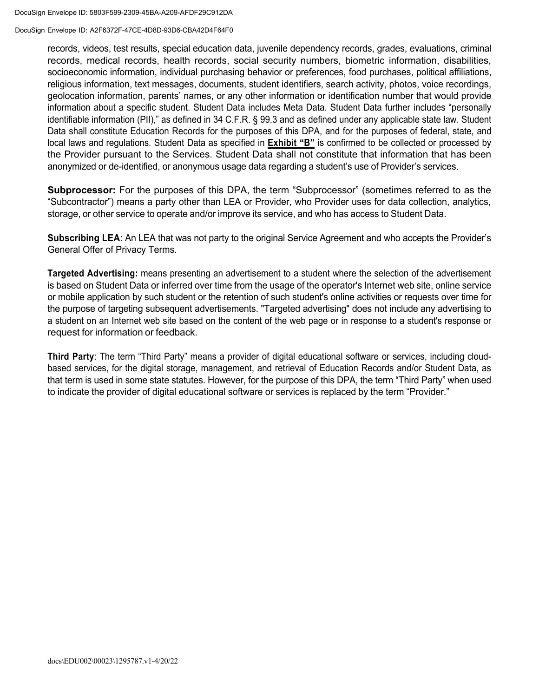DocuSign Envelope ID: 5803F599-2309-45BA-A209-AFDF29C912DA

DocuSign Envelope ID: A2F6372F-47CE-4D8D-93D6-CBA42D4F64F0

records, videos, test results, special education data, juvenile dependency records, grades, evaluations, criminal records, medical records, health records, social security numbers, biometric information, disabilities, socioeconomic information, individual purchasing behavior or preferences, food purchases, political affiliations, religious information, text messages, documents, student identifiers, search activity, photos, voice recordings, geolocation information, parents' names, or any other information or identification number that would provide information about a specific student. Student Data includes Meta Data. Student Data further includes "personally identifiable information (PII)," as defined in 34 C.F.R. § 99.3 and as defined under any applicable state law. Student Data shall constitute Education Records for the purposes of this DPA, and for the purposes of federal, state, and local laws and regulations. Student Data as specified in **Exhibit "B"** is confirmed to be collected or processed by the Provider pursuant to the Services. Student Data shall not constitute that information that has been anonymized or de-identified, or anonymous usage data regarding a student's use of Provider's services.

**Subprocessor:** For the purposes of this DPA, the term "Subprocessor" (sometimes referred to as the "Subcontractor") means a party other than LEA or Provider, who Provider uses for data collection, analytics, storage, or other service to operate and/or improve its service, and who has access to Student Data.

**Subscribing LEA**: An LEA that was not party to the original Service Agreement and who accepts the Provider's General Offer of Privacy Terms.

**Targeted Advertising:** means presenting an advertisement to a student where the selection of the advertisement is based on Student Data or inferred over time from the usage of the operator's Internet web site, online service or mobile application by such student or the retention of such student's online activities or requests over time for the purpose of targeting subsequent advertisements. "Targeted advertising" does not include any advertising to a student on an Internet web site based on the content of the web page or in response to a student's response or request for information or feedback.

**Third Party**: The term "Third Party" means a provider of digital educational software or services, including cloudbased services, for the digital storage, management, and retrieval of Education Records and/or Student Data, as that term is used in some state statutes. However, for the purpose of this DPA, the term "Third Party" when used to indicate the provider of digital educational software or services is replaced by the term "Provider."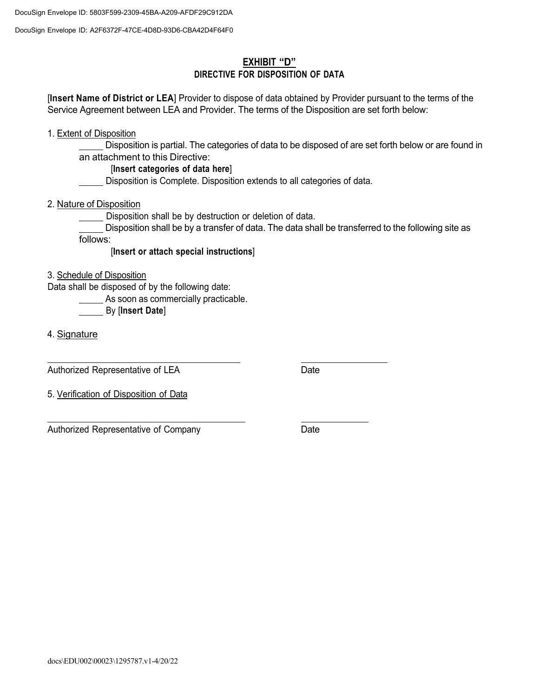#### **EXHIBIT "D" DIRECTIVE FOR DISPOSITION OF DATA**

[**Insert Name of District or LEA**] Provider to dispose of data obtained by Provider pursuant to the terms of the Service Agreement between LEA and Provider. The terms of the Disposition are set forth below:

1. Extent of Disposition

Disposition is partial. The categories of data to be disposed of are set forth below or are found in an attachment to this Directive:

[**Insert categories of data here**]

Disposition is Complete. Disposition extends to all categories of data.

2. Nature of Disposition

Disposition shall be by destruction or deletion of data.

Disposition shall be by a transfer of data. The data shall be transferred to the following site as follows:

[**Insert or attach special instructions**]

3. Schedule of Disposition

Data shall be disposed of by the following date:

**As soon as commercially practicable.** 

By [**Insert Date**]

4. Signature

Authorized Representative of LEA Date

5. Verification of Disposition of Data

Authorized Representative of Company **Date**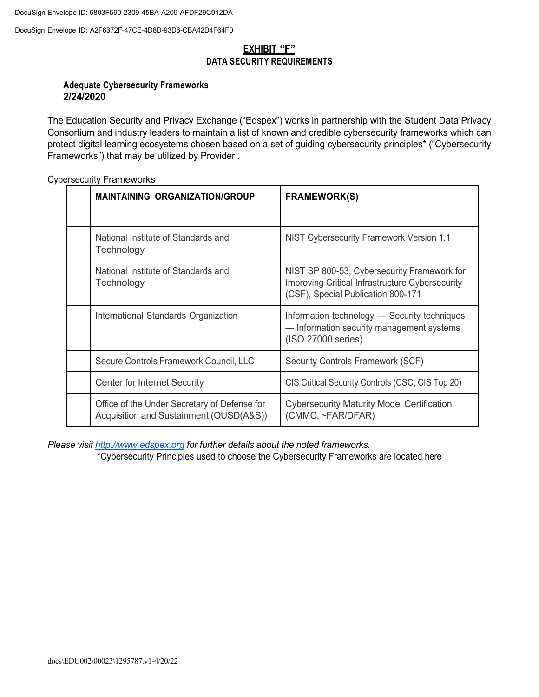#### **EXHIBIT "F" DATA SECURITY REQUIREMENTS**

#### **Adequate Cybersecurity Frameworks 2/24/2020**

The Education Security and Privacy Exchange ("Edspex") works in partnership with the Student Data Privacy Consortium and industry leaders to maintain a list of known and credible cybersecurity frameworks which can protect digital learning ecosystems chosen based on a set of guiding cybersecurity principles\* ("Cybersecurity Frameworks") that may be utilized by Provider .

| <b>MAINTAINING ORGANIZATION/GROUP</b>                                                   | <b>FRAMEWORK(S)</b>                                                                                                                  |
|-----------------------------------------------------------------------------------------|--------------------------------------------------------------------------------------------------------------------------------------|
| National Institute of Standards and<br>Technology                                       | NIST Cybersecurity Framework Version 1.1                                                                                             |
| National Institute of Standards and<br>Technology                                       | NIST SP 800-53, Cybersecurity Framework for<br>Improving Critical Infrastructure Cybersecurity<br>(CSF), Special Publication 800-171 |
| International Standards Organization                                                    | Information technology — Security techniques<br>- Information security management systems<br>(ISO 27000 series)                      |
| Secure Controls Framework Council, LLC                                                  | Security Controls Framework (SCF)                                                                                                    |
| <b>Center for Internet Security</b>                                                     | CIS Critical Security Controls (CSC, CIS Top 20)                                                                                     |
| Office of the Under Secretary of Defense for<br>Acquisition and Sustainment (OUSD(A&S)) | <b>Cybersecurity Maturity Model Certification</b><br>(CMMC, ~FAR/DFAR)                                                               |

Cybersecurity Frameworks

*Please visit http://www.edspex.org for further details about the noted frameworks.*

\*Cybersecurity Principles used to choose the Cybersecurity Frameworks are located here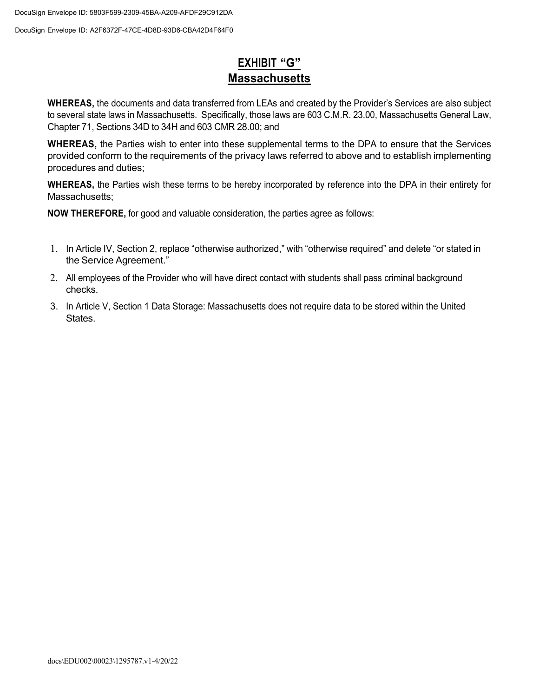# **EXHIBIT "G" Massachusetts**

**WHEREAS,** the documents and data transferred from LEAs and created by the Provider's Services are also subject to several state laws in Massachusetts. Specifically, those laws are 603 C.M.R. 23.00, Massachusetts General Law, Chapter 71, Sections 34D to 34H and 603 CMR 28.00; and

**WHEREAS,** the Parties wish to enter into these supplemental terms to the DPA to ensure that the Services provided conform to the requirements of the privacy laws referred to above and to establish implementing procedures and duties;

**WHEREAS,** the Parties wish these terms to be hereby incorporated by reference into the DPA in their entirety for Massachusetts:

- 1. In Article IV, Section 2, replace "otherwise authorized," with "otherwise required" and delete "or stated in the Service Agreement."
- 2. All employees of the Provider who will have direct contact with students shall pass criminal background checks.
- 3. In Article V, Section 1 Data Storage: Massachusetts does not require data to be stored within the United **States**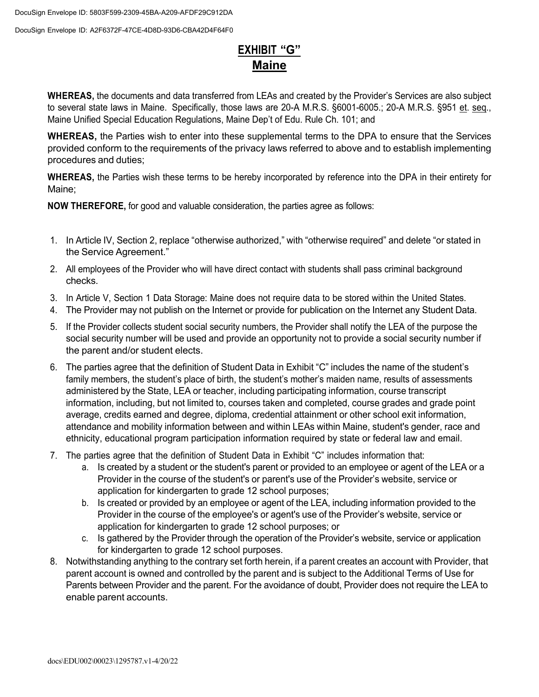## **EXHIBIT "G" Maine**

**WHEREAS,** the documents and data transferred from LEAs and created by the Provider's Services are also subject to several state laws in Maine. Specifically, those laws are 20-A M.R.S. §6001-6005.; 20-A M.R.S. §951 et. seq., Maine Unified Special Education Regulations, Maine Dep't of Edu. Rule Ch. 101; and

**WHEREAS,** the Parties wish to enter into these supplemental terms to the DPA to ensure that the Services provided conform to the requirements of the privacy laws referred to above and to establish implementing procedures and duties;

**WHEREAS,** the Parties wish these terms to be hereby incorporated by reference into the DPA in their entirety for Maine;

- 1. In Article IV, Section 2, replace "otherwise authorized," with "otherwise required" and delete "or stated in the Service Agreement."
- 2. All employees of the Provider who will have direct contact with students shall pass criminal background checks.
- 3. In Article V, Section 1 Data Storage: Maine does not require data to be stored within the United States.
- 4. The Provider may not publish on the Internet or provide for publication on the Internet any Student Data.
- 5. If the Provider collects student social security numbers, the Provider shall notify the LEA of the purpose the social security number will be used and provide an opportunity not to provide a social security number if the parent and/or student elects.
- 6. The parties agree that the definition of Student Data in Exhibit "C" includes the name of the student's family members, the student's place of birth, the student's mother's maiden name, results of assessments administered by the State, LEA or teacher, including participating information, course transcript information, including, but not limited to, courses taken and completed, course grades and grade point average, credits earned and degree, diploma, credential attainment or other school exit information, attendance and mobility information between and within LEAs within Maine, student's gender, race and ethnicity, educational program participation information required by state or federal law and email.
- 7. The parties agree that the definition of Student Data in Exhibit "C" includes information that:
	- a. Is created by a student or the student's parent or provided to an employee or agent of the LEA or a Provider in the course of the student's or parent's use of the Provider's website, service or application for kindergarten to grade 12 school purposes;
	- b. Is created or provided by an employee or agent of the LEA, including information provided to the Provider in the course of the employee's or agent's use of the Provider's website, service or application for kindergarten to grade 12 school purposes; or
	- c. Is gathered by the Provider through the operation of the Provider's website, service or application for kindergarten to grade 12 school purposes.
- 8. Notwithstanding anything to the contrary set forth herein, if a parent creates an account with Provider, that parent account is owned and controlled by the parent and is subject to the Additional Terms of Use for Parents between Provider and the parent. For the avoidance of doubt, Provider does not require the LEA to enable parent accounts.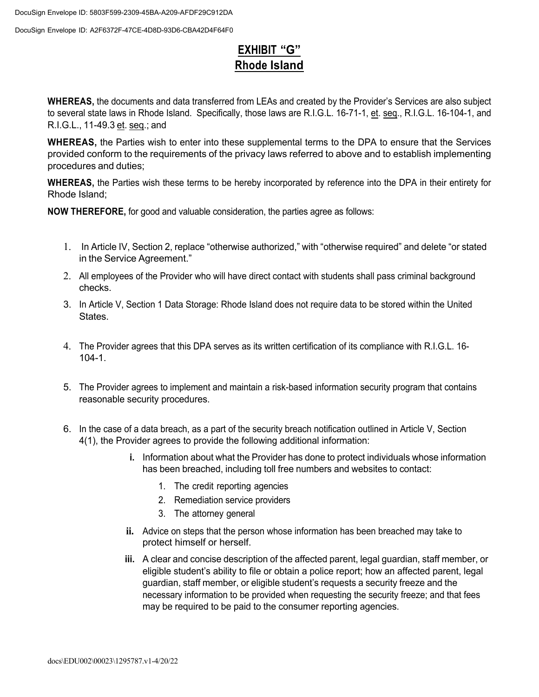# **EXHIBIT "G" Rhode Island**

**WHEREAS,** the documents and data transferred from LEAs and created by the Provider's Services are also subject to several state laws in Rhode Island. Specifically, those laws are R.I.G.L. 16-71-1, et. seq., R.I.G.L. 16-104-1, and R.I.G.L., 11-49.3 et. seq.; and

**WHEREAS,** the Parties wish to enter into these supplemental terms to the DPA to ensure that the Services provided conform to the requirements of the privacy laws referred to above and to establish implementing procedures and duties;

**WHEREAS,** the Parties wish these terms to be hereby incorporated by reference into the DPA in their entirety for Rhode Island;

- 1. In Article IV, Section 2, replace "otherwise authorized," with "otherwise required" and delete "or stated in the Service Agreement."
- 2. All employees of the Provider who will have direct contact with students shall pass criminal background checks.
- 3. In Article V, Section 1 Data Storage: Rhode Island does not require data to be stored within the United States.
- 4. The Provider agrees that this DPA serves as its written certification of its compliance with R.I.G.L. 16- 104-1.
- 5. The Provider agrees to implement and maintain a risk-based information security program that contains reasonable security procedures.
- 6. In the case of a data breach, as a part of the security breach notification outlined in Article V, Section 4(1), the Provider agrees to provide the following additional information:
	- **i.** Information about what the Provider has done to protect individuals whose information has been breached, including toll free numbers and websites to contact:
		- 1. The credit reporting agencies
		- 2. Remediation service providers
		- 3. The attorney general
	- **ii.** Advice on steps that the person whose information has been breached may take to protect himself or herself.
	- **iii.** A clear and concise description of the affected parent, legal guardian, staff member, or eligible student's ability to file or obtain a police report; how an affected parent, legal guardian, staff member, or eligible student's requests a security freeze and the necessary information to be provided when requesting the security freeze; and that fees may be required to be paid to the consumer reporting agencies.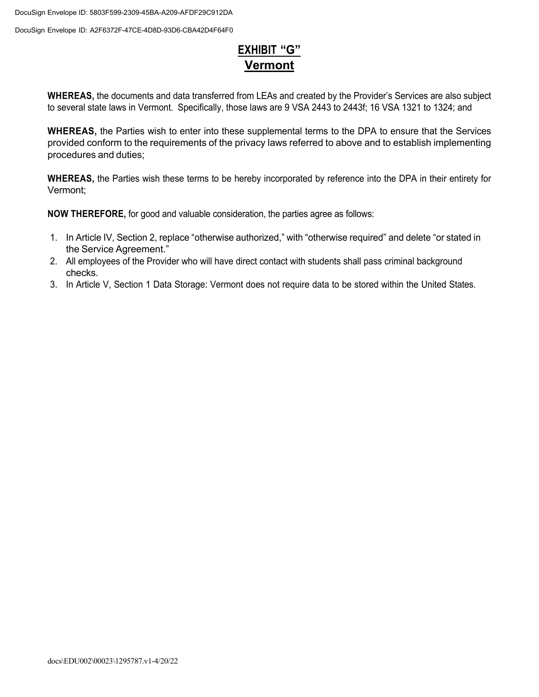## **EXHIBIT "G" Vermont**

**WHEREAS,** the documents and data transferred from LEAs and created by the Provider's Services are also subject to several state laws in Vermont. Specifically, those laws are 9 VSA 2443 to 2443f; 16 VSA 1321 to 1324; and

**WHEREAS,** the Parties wish to enter into these supplemental terms to the DPA to ensure that the Services provided conform to the requirements of the privacy laws referred to above and to establish implementing procedures and duties;

**WHEREAS,** the Parties wish these terms to be hereby incorporated by reference into the DPA in their entirety for Vermont;

- 1. In Article IV, Section 2, replace "otherwise authorized," with "otherwise required" and delete "or stated in the Service Agreement."
- 2. All employees of the Provider who will have direct contact with students shall pass criminal background checks.
- 3. In Article V, Section 1 Data Storage: Vermont does not require data to be stored within the United States.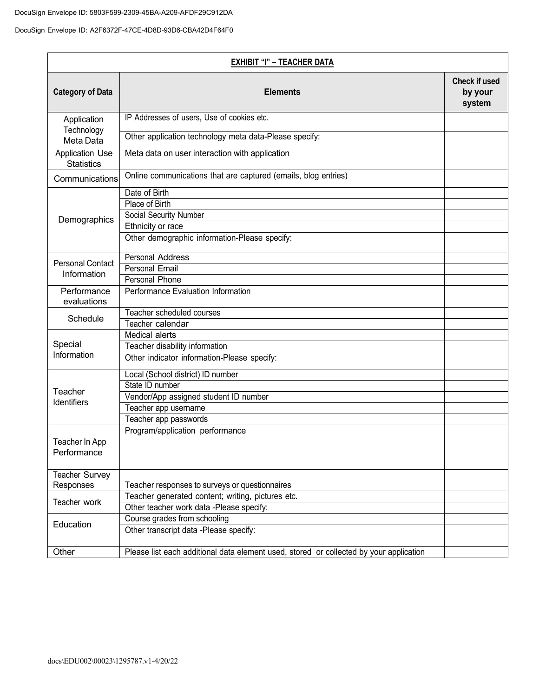| <b>EXHIBIT "I" - TEACHER DATA</b>           |                                                                                        |                                           |
|---------------------------------------------|----------------------------------------------------------------------------------------|-------------------------------------------|
| <b>Category of Data</b>                     | <b>Elements</b>                                                                        | <b>Check if used</b><br>by your<br>system |
| Application<br>Technology                   | IP Addresses of users, Use of cookies etc.                                             |                                           |
| Meta Data                                   | Other application technology meta data-Please specify:                                 |                                           |
| <b>Application Use</b><br><b>Statistics</b> | Meta data on user interaction with application                                         |                                           |
| Communications                              | Online communications that are captured (emails, blog entries)                         |                                           |
|                                             | Date of Birth                                                                          |                                           |
|                                             | Place of Birth                                                                         |                                           |
| Demographics                                | Social Security Number                                                                 |                                           |
|                                             | Ethnicity or race                                                                      |                                           |
|                                             | Other demographic information-Please specify:                                          |                                           |
|                                             | <b>Personal Address</b>                                                                |                                           |
| <b>Personal Contact</b>                     | <b>Personal Email</b>                                                                  |                                           |
| Information                                 | Personal Phone                                                                         |                                           |
| Performance<br>evaluations                  | Performance Evaluation Information                                                     |                                           |
|                                             | Teacher scheduled courses                                                              |                                           |
| Schedule                                    | Teacher calendar                                                                       |                                           |
|                                             | Medical alerts                                                                         |                                           |
| Special                                     | Teacher disability information                                                         |                                           |
| Information                                 | Other indicator information-Please specify:                                            |                                           |
|                                             | Local (School district) ID number                                                      |                                           |
| Teacher                                     | State ID number                                                                        |                                           |
| Identifiers                                 | Vendor/App assigned student ID number                                                  |                                           |
|                                             | Teacher app username                                                                   |                                           |
|                                             | Teacher app passwords                                                                  |                                           |
| Teacher In App<br>Performance               | Program/application performance                                                        |                                           |
| <b>Teacher Survey</b><br>Responses          | Teacher responses to surveys or questionnaires                                         |                                           |
|                                             | Teacher generated content; writing, pictures etc.                                      |                                           |
| Teacher work                                | Other teacher work data -Please specify:                                               |                                           |
|                                             | Course grades from schooling                                                           |                                           |
| Education                                   | Other transcript data -Please specify:                                                 |                                           |
| Other                                       | Please list each additional data element used, stored or collected by your application |                                           |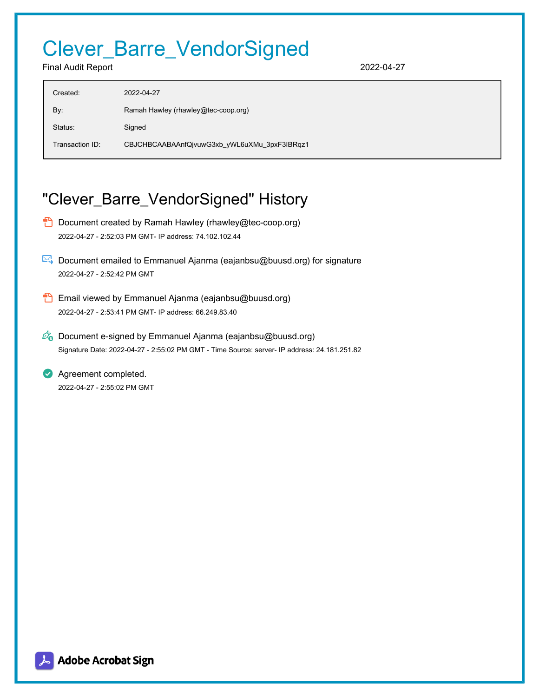# Clever\_Barre\_VendorSigned

Final Audit Report 2022-04-27

| Created:        | 2022-04-27                                   |
|-----------------|----------------------------------------------|
| By:             | Ramah Hawley (rhawley@tec-coop.org)          |
| Status:         | Signed                                       |
| Transaction ID: | CBJCHBCAABAAnfQjvuwG3xb_yWL6uXMu_3pxF3IBRqz1 |

# "Clever\_Barre\_VendorSigned" History

- **D** Document created by Ramah Hawley (rhawley@tec-coop.org) 2022-04-27 - 2:52:03 PM GMT- IP address: 74.102.102.44
- Document emailed to Emmanuel Ajanma (eajanbsu@buusd.org) for signature 2022-04-27 - 2:52:42 PM GMT
- **Email viewed by Emmanuel Ajanma (eajanbsu@buusd.org)** 2022-04-27 - 2:53:41 PM GMT- IP address: 66.249.83.40
- $\mathscr{O}_0$  Document e-signed by Emmanuel Ajanma (eajanbsu@buusd.org) Signature Date: 2022-04-27 - 2:55:02 PM GMT - Time Source: server- IP address: 24.181.251.82

**Agreement completed.** 2022-04-27 - 2:55:02 PM GMT

& Adobe Acrobat Sign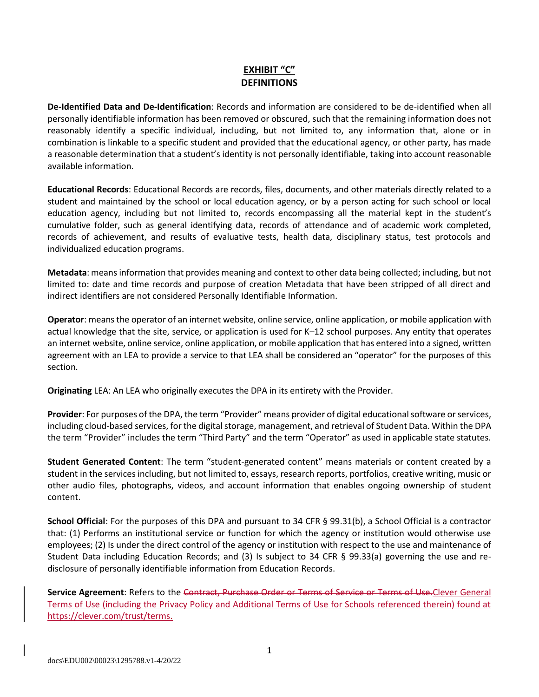#### **EXHIBIT "C" DEFINITIONS**

**De-Identified Data and De-Identification**: Records and information are considered to be de-identified when all personally identifiable information has been removed or obscured, such that the remaining information does not reasonably identify a specific individual, including, but not limited to, any information that, alone or in combination is linkable to a specific student and provided that the educational agency, or other party, has made a reasonable determination that a student's identity is not personally identifiable, taking into account reasonable available information.

**Educational Records**: Educational Records are records, files, documents, and other materials directly related to a student and maintained by the school or local education agency, or by a person acting for such school or local education agency, including but not limited to, records encompassing all the material kept in the student's cumulative folder, such as general identifying data, records of attendance and of academic work completed, records of achievement, and results of evaluative tests, health data, disciplinary status, test protocols and individualized education programs.

**Metadata**: means information that provides meaning and context to other data being collected; including, but not limited to: date and time records and purpose of creation Metadata that have been stripped of all direct and indirect identifiers are not considered Personally Identifiable Information.

**Operator**: means the operator of an internet website, online service, online application, or mobile application with actual knowledge that the site, service, or application is used for K–12 school purposes. Any entity that operates an internet website, online service, online application, or mobile application that has entered into a signed, written agreement with an LEA to provide a service to that LEA shall be considered an "operator" for the purposes of this section.

**Originating** LEA: An LEA who originally executes the DPA in its entirety with the Provider.

**Provider**: For purposes of the DPA, the term "Provider" means provider of digital educational software or services, including cloud-based services, for the digital storage, management, and retrieval of Student Data. Within the DPA the term "Provider" includes the term "Third Party" and the term "Operator" as used in applicable state statutes.

**Student Generated Content**: The term "student-generated content" means materials or content created by a student in the services including, but not limited to, essays, research reports, portfolios, creative writing, music or other audio files, photographs, videos, and account information that enables ongoing ownership of student content.

**School Official**: For the purposes of this DPA and pursuant to 34 CFR § 99.31(b), a School Official is a contractor that: (1) Performs an institutional service or function for which the agency or institution would otherwise use employees; (2) Is under the direct control of the agency or institution with respect to the use and maintenance of Student Data including Education Records; and (3) Is subject to 34 CFR § 99.33(a) governing the use and redisclosure of personally identifiable information from Education Records.

**Service Agreement**: Refers to the Contract, Purchase Order or Terms of Service or Terms of Use.Clever General Terms of Use (including the Privacy Policy and Additional Terms of Use for Schools referenced therein) found at [https://clever.com/trust/terms.](https://clever.com/trust/terms)